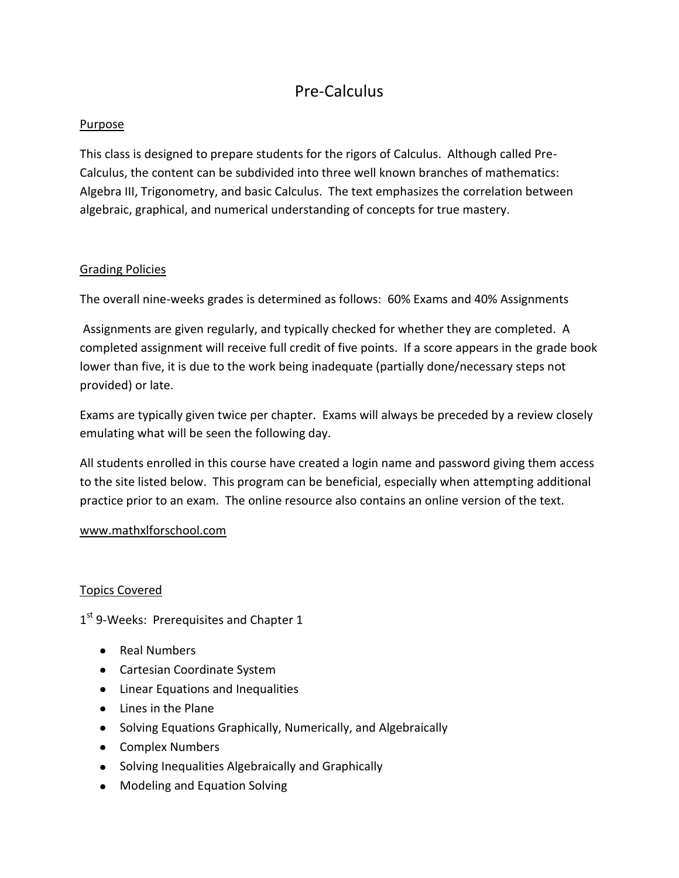# Pre-Calculus

# Purpose

This class is designed to prepare students for the rigors of Calculus. Although called Pre-Calculus, the content can be subdivided into three well known branches of mathematics: Algebra III, Trigonometry, and basic Calculus. The text emphasizes the correlation between algebraic, graphical, and numerical understanding of concepts for true mastery.

# Grading Policies

The overall nine-weeks grades is determined as follows: 60% Exams and 40% Assignments

Assignments are given regularly, and typically checked for whether they are completed. A completed assignment will receive full credit of five points. If a score appears in the grade book lower than five, it is due to the work being inadequate (partially done/necessary steps not provided) or late.

Exams are typically given twice per chapter. Exams will always be preceded by a review closely emulating what will be seen the following day.

All students enrolled in this course have created a login name and password giving them access to the site listed below. This program can be beneficial, especially when attempting additional practice prior to an exam. The online resource also contains an online version of the text.

### [www.mathxlforschool.com](http://www.mathxlforschool.com/)

### Topics Covered

1<sup>st</sup> 9-Weeks: Prerequisites and Chapter 1

- Real Numbers
- Cartesian Coordinate System
- Linear Equations and Inequalities
- Lines in the Plane
- Solving Equations Graphically, Numerically, and Algebraically
- Complex Numbers
- Solving Inequalities Algebraically and Graphically
- Modeling and Equation Solving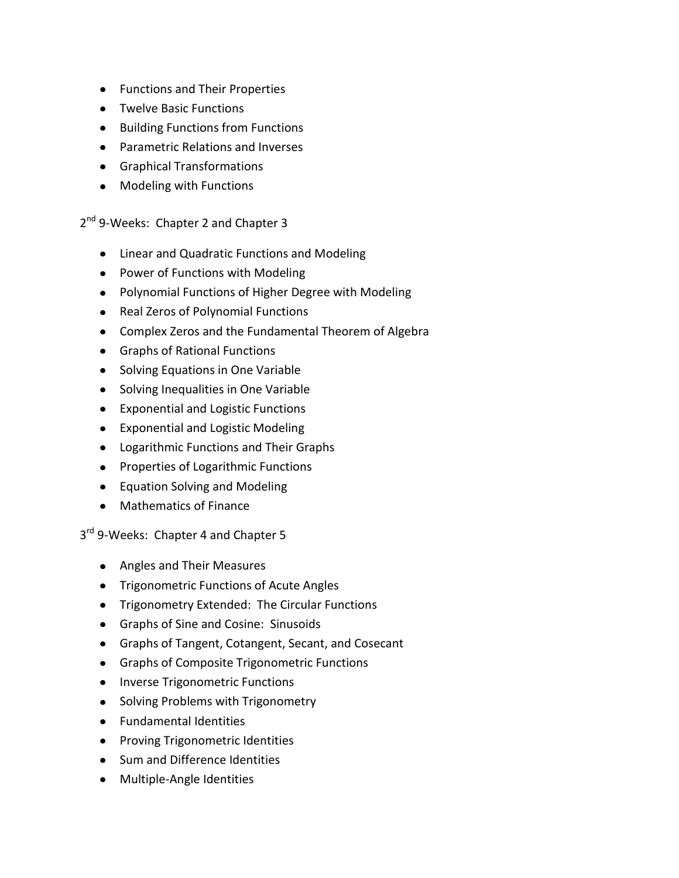- Functions and Their Properties
- Twelve Basic Functions
- Building Functions from Functions
- Parametric Relations and Inverses
- Graphical Transformations
- Modeling with Functions

2<sup>nd</sup> 9-Weeks: Chapter 2 and Chapter 3

- Linear and Quadratic Functions and Modeling
- Power of Functions with Modeling
- Polynomial Functions of Higher Degree with Modeling
- Real Zeros of Polynomial Functions
- Complex Zeros and the Fundamental Theorem of Algebra
- Graphs of Rational Functions
- Solving Equations in One Variable
- Solving Inequalities in One Variable
- Exponential and Logistic Functions
- Exponential and Logistic Modeling
- Logarithmic Functions and Their Graphs
- Properties of Logarithmic Functions
- Equation Solving and Modeling
- Mathematics of Finance

3<sup>rd</sup> 9-Weeks: Chapter 4 and Chapter 5

- Angles and Their Measures
- **•** Trigonometric Functions of Acute Angles
- Trigonometry Extended: The Circular Functions
- Graphs of Sine and Cosine: Sinusoids
- Graphs of Tangent, Cotangent, Secant, and Cosecant
- Graphs of Composite Trigonometric Functions
- Inverse Trigonometric Functions
- Solving Problems with Trigonometry
- Fundamental Identities
- Proving Trigonometric Identities
- Sum and Difference Identities
- Multiple-Angle Identities